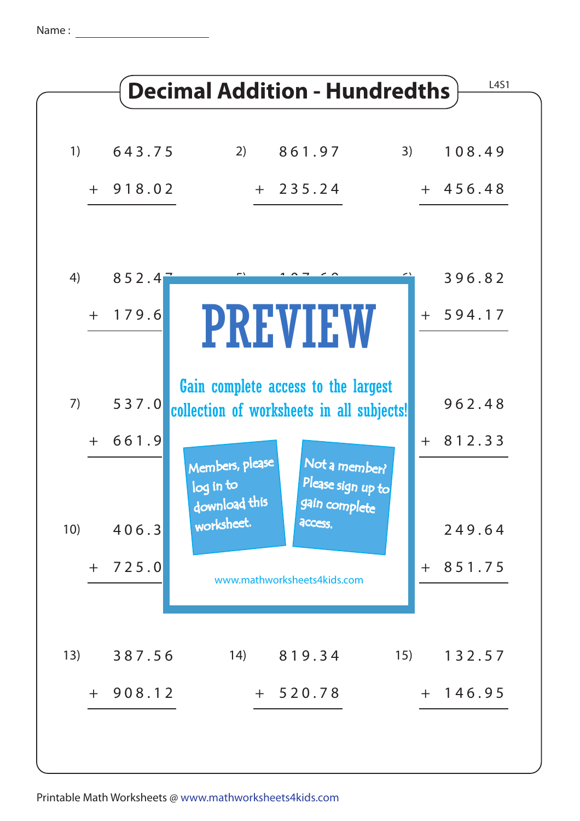